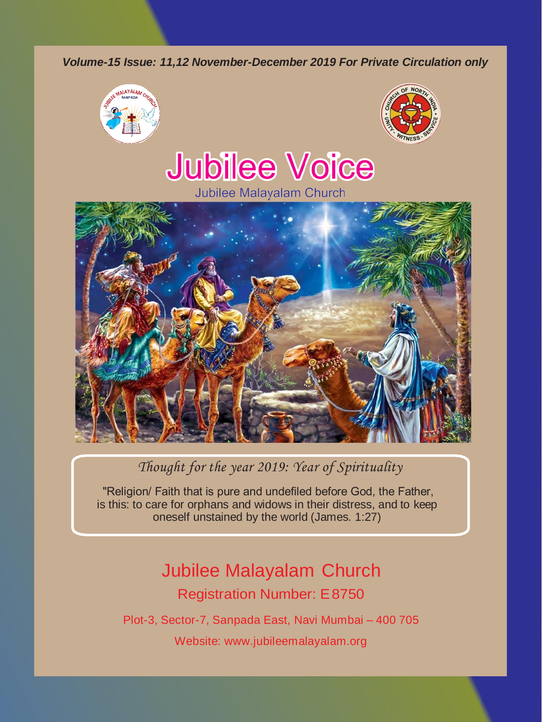*Volume-15 Issue: 11,12 November-December 2019 For Private Circulation only*





# **Jubilee Voice**



## *Thought for the year 2019: Year of Spirituality*

"Religion/ Faith that is pure and undefiled before God, the Father, is this: to care for orphans and widows in their distress, and to keep oneself unstained by the world (James. 1:27)

# Jubilee Malayalam Church Registration Number: E8750

Plot-3, Sector-7, Sanpada East, Navi Mumbai – 400 705

Website: [www.jubileemalayalam.org](http://www.jubileemalayalam.org/)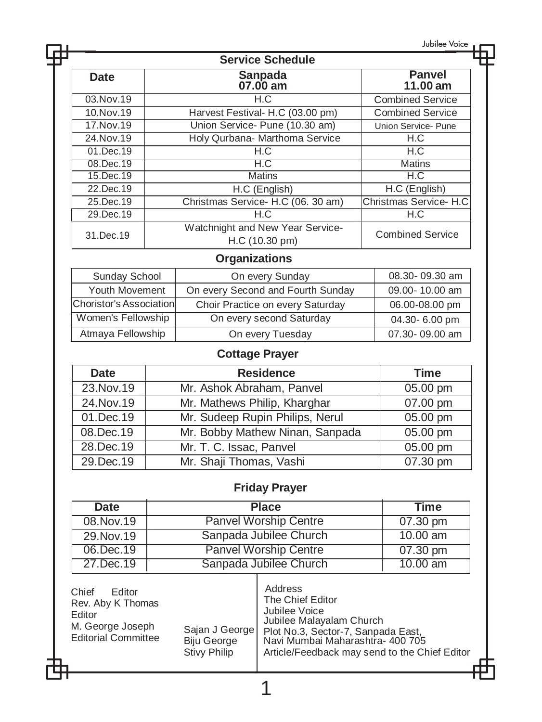Jubilee Voice

| <b>Service Schedule</b> |                                                    |                         |  |
|-------------------------|----------------------------------------------------|-------------------------|--|
| Date                    | Sanpada<br>07.00 am                                |                         |  |
| 03. Nov. 19             | H.C                                                | <b>Combined Service</b> |  |
| 10.Nov.19               | Harvest Festival- H.C (03.00 pm)                   | <b>Combined Service</b> |  |
| 17. Nov. 19             | Union Service- Pune (10.30 am)                     | Union Service- Pune     |  |
| 24. Nov. 19             | Holy Qurbana- Marthoma Service<br>H.C              |                         |  |
| 01.Dec.19               | H.C                                                | H.C                     |  |
| 08.Dec.19               | H.C                                                | <b>Matins</b>           |  |
| 15.Dec.19               | <b>Matins</b>                                      | H.C                     |  |
| 22.Dec.19               | H.C (English)                                      | H.C (English)           |  |
| 25.Dec.19               | Christmas Service- H.C (06. 30 am)                 | Christmas Service- H.C  |  |
| 29.Dec.19               | H.C                                                | H.C                     |  |
| 31.Dec.19               | Watchnight and New Year Service-<br>H.C (10.30 pm) | <b>Combined Service</b> |  |

## **Organizations**

| Sunday School           | On every Sunday                   | 08.30-09.30 am |
|-------------------------|-----------------------------------|----------------|
| <b>Youth Movement</b>   | On every Second and Fourth Sunday | 09.00-10.00 am |
| Choristor's Association | Choir Practice on every Saturday  | 06.00-08.00 pm |
| Women's Fellowship      | On every second Saturday          | 04.30-6.00 pm  |
| Atmaya Fellowship       | On every Tuesday                  | 07.30-09.00 am |

## **Cottage Prayer**

| <b>Date</b> | <b>Residence</b>                | <b>Time</b>           |
|-------------|---------------------------------|-----------------------|
| 23. Nov. 19 | Mr. Ashok Abraham, Panvel       | 05.00 pm              |
| 24. Nov. 19 | Mr. Mathews Philip, Kharghar    | 07.00 pm              |
| 01.Dec.19   | Mr. Sudeep Rupin Philips, Nerul | 05.00 pm              |
| 08.Dec.19   | Mr. Bobby Mathew Ninan, Sanpada | 05.00 pm              |
| 28.Dec.19   | Mr. T. C. Issac, Panvel         | 05.00 pm              |
| 29.Dec.19   | Mr. Shaji Thomas, Vashi         | $\overline{07.30}$ pm |

## **Friday Prayer**

| Date        | <b>Place</b>           | Time       |
|-------------|------------------------|------------|
| 08. Nov. 19 | Panvel Worship Centre  | 07.30 pm   |
| 29. Nov. 19 | Sanpada Jubilee Church | $10.00$ am |
| 06.Dec.19   | Panvel Worship Centre  | 07.30 pm   |
| 27.Dec.19   | Sanpada Jubilee Church | 10.00 $am$ |

| Chief<br><b>F</b> ditor<br>Rev. Aby K Thomas<br>Editor<br>M. George Joseph<br><b>Editorial Committee</b><br><b>Biju George</b><br>Stivy Philip | Address<br>The Chief Editor<br>Jubilee Voice<br>Jubilee Malayalam Church<br>Sajan J George   Plot No.3, Sector-7, Sanpada East,<br>Navi Mumbai Maharashtra-400705<br>Article/Feedback may send to the Chief Editor |
|------------------------------------------------------------------------------------------------------------------------------------------------|--------------------------------------------------------------------------------------------------------------------------------------------------------------------------------------------------------------------|
|------------------------------------------------------------------------------------------------------------------------------------------------|--------------------------------------------------------------------------------------------------------------------------------------------------------------------------------------------------------------------|

1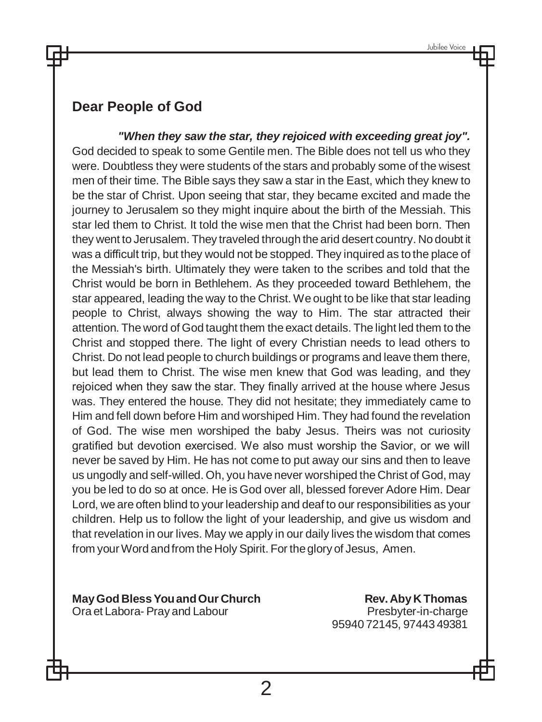## **Dear People of God**

*"When they saw the star, they rejoiced with exceeding great joy".*  God decided to speak to some Gentile men. The Bible does not tell us who they were. Doubtless they were students of the stars and probably some of the wisest men of their time. The Bible says they saw a star in the East, which they knew to be the star of Christ. Upon seeing that star, they became excited and made the journey to Jerusalem so they might inquire about the birth of the Messiah. This star led them to Christ. It told the wise men that the Christ had been born. Then they went to Jerusalem. They traveled through the arid desert country. No doubt it was a difficult trip, but they would not be stopped. They inquired as to the place of the Messiah's birth. Ultimately they were taken to the scribes and told that the Christ would be born in Bethlehem. As they proceeded toward Bethlehem, the star appeared, leading the way to the Christ. We ought to be like that star leading people to Christ, always showing the way to Him. The star attracted their attention. The word of God taught them the exact details. The light led them to the Christ and stopped there. The light of every Christian needs to lead others to Christ. Do not lead people to church buildings or programs and leave them there, but lead them to Christ. The wise men knew that God was leading, and they rejoiced when they saw the star. They finally arrived at the house where Jesus was. They entered the house. They did not hesitate; they immediately came to Him and fell down before Him and worshiped Him. They had found the revelation of God. The wise men worshiped the baby Jesus. Theirs was not curiosity gratified but devotion exercised. We also must worship the Savior, or we will never be saved by Him. He has not come to put away our sins and then to leave us ungodly and self-willed. Oh, you have never worshiped the Christ of God, may you be led to do so at once. He is God over all, blessed forever Adore Him. Dear Lord, we are often blind to your leadership and deaf to our responsibilities as your children. Help us to follow the light of your leadership, and give us wisdom and that revelation in our lives. May we apply in our daily lives the wisdom that comes from your Word and from the Holy Spirit. For the glory of Jesus, Amen.

**MayGod BlessYouandOur Church Rev.Aby K Thomas** Ora et Labora- Pray and Labour entering the Presbyter-in-charge

95940 72145, 97443 49381

 $\mathcal{P}$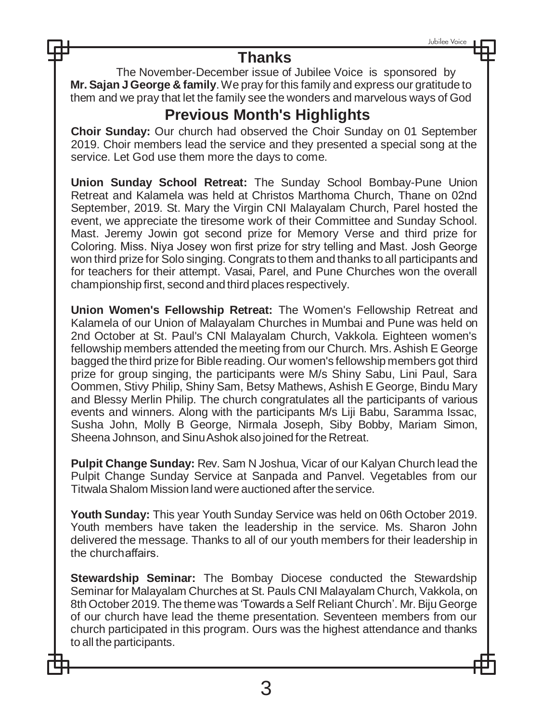## **Thanks**

The November-December issue of Jubilee Voice is sponsored by **Mr. Sajan JGeorge & family**.We pray for this family and express our gratitude to them and we pray that let the family see the wonders and marvelous ways of God

# **Previous Month's Highlights**

**Choir Sunday:** Our church had observed the Choir Sunday on 01 September 2019. Choir members lead the service and they presented a special song at the service. Let God use them more the days to come.

**Union Sunday School Retreat:** The Sunday School Bombay-Pune Union Retreat and Kalamela was held at Christos Marthoma Church, Thane on 02nd September, 2019. St. Mary the Virgin CNI Malayalam Church, Parel hosted the event, we appreciate the tiresome work of their Committee and Sunday School. Mast. Jeremy Jowin got second prize for Memory Verse and third prize for Coloring. Miss. Niya Josey won first prize for stry telling and Mast. Josh George won third prize for Solo singing. Congrats to them and thanks to all participants and for teachers for their attempt. Vasai, Parel, and Pune Churches won the overall championship first, second and third places respectively.

**Union Women's Fellowship Retreat:** The Women's Fellowship Retreat and Kalamela of our Union of Malayalam Churches in Mumbai and Pune was held on 2nd October at St. Paul's CNI Malayalam Church, Vakkola. Eighteen women's fellowship members attended the meeting from our Church. Mrs. Ashish E George bagged the third prize for Bible reading. Our women's fellowship members got third prize for group singing, the participants were M/s Shiny Sabu, Lini Paul, Sara Oommen, Stivy Philip, Shiny Sam, Betsy Mathews, Ashish E George, Bindu Mary and Blessy Merlin Philip. The church congratulates all the participants of various events and winners. Along with the participants M/s Liji Babu, Saramma Issac, Susha John, Molly B George, Nirmala Joseph, Siby Bobby, Mariam Simon, Sheena Johnson, and SinuAshok also joined for the Retreat.

**Pulpit Change Sunday:** Rev. Sam N Joshua, Vicar of our Kalyan Church lead the Pulpit Change Sunday Service at Sanpada and Panvel. Vegetables from our Titwala Shalom Mission land were auctioned after the service.

**Youth Sunday:** This year Youth Sunday Service was held on 06th October 2019. Youth members have taken the leadership in the service. Ms. Sharon John delivered the message. Thanks to all of our youth members for their leadership in the churchaffairs.

**Stewardship Seminar:** The Bombay Diocese conducted the Stewardship Seminar for Malayalam Churches at St. Pauls CNI Malayalam Church, Vakkola, on 8th October 2019. The theme was 'Towards a Self Reliant Church'. Mr. BijuGeorge of our church have lead the theme presentation. Seventeen members from our church participated in this program. Ours was the highest attendance and thanks to all the participants.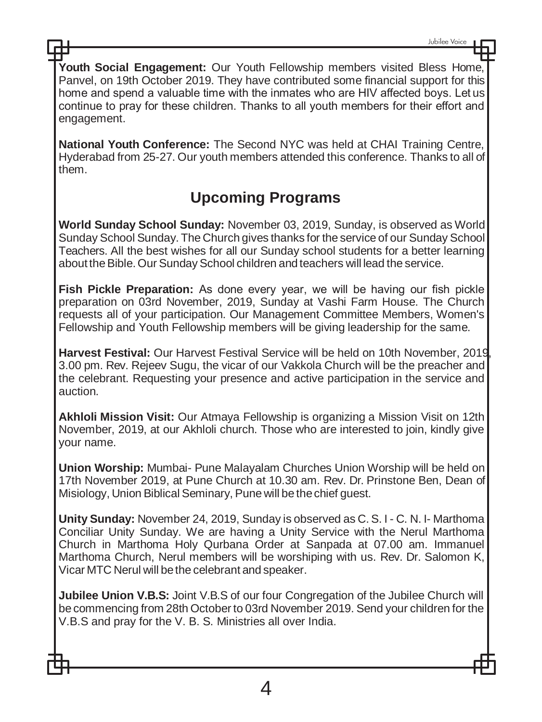**Youth Social Engagement:** Our Youth Fellowship members visited Bless Home, Panvel, on 19th October 2019. They have contributed some financial support for this home and spend a valuable time with the inmates who are HIV affected boys. Let us continue to pray for these children. Thanks to all youth members for their effort and engagement.

**National Youth Conference:** The Second NYC was held at CHAI Training Centre, Hyderabad from 25-27. Our youth members attended this conference. Thanks to all of them.

# **Upcoming Programs**

**World Sunday School Sunday:** November 03, 2019, Sunday, is observed as World Sunday School Sunday. The Church gives thanks for the service of our Sunday School Teachers. All the best wishes for all our Sunday school students for a better learning about the Bible. Our Sunday School children and teachers will lead the service.

**Fish Pickle Preparation:** As done every year, we will be having our fish pickle preparation on 03rd November, 2019, Sunday at Vashi Farm House. The Church requests all of your participation. Our Management Committee Members, Women's Fellowship and Youth Fellowship members will be giving leadership for the same.

**Harvest Festival:** Our Harvest Festival Service will be held on 10th November, 2019, 3.00 pm. Rev. Rejeev Sugu, the vicar of our Vakkola Church will be the preacher and the celebrant. Requesting your presence and active participation in the service and auction.

**Akhloli Mission Visit:** Our Atmaya Fellowship is organizing a Mission Visit on 12th November, 2019, at our Akhloli church. Those who are interested to join, kindly give your name.

**Union Worship:** Mumbai- Pune Malayalam Churches Union Worship will be held on 17th November 2019, at Pune Church at 10.30 am. Rev. Dr. Prinstone Ben, Dean of Misiology, Union Biblical Seminary, Pune will be thechief guest.

**Unity Sunday:** November 24, 2019, Sunday is observed as C. S. I - C. N. I- Marthoma Conciliar Unity Sunday. We are having a Unity Service with the Nerul Marthoma Church in Marthoma Holy Qurbana Order at Sanpada at 07.00 am. Immanuel Marthoma Church, Nerul members will be worshiping with us. Rev. Dr. Salomon K, Vicar MTC Nerul will bethe celebrant and speaker.

**Jubilee Union V.B.S:** Joint V.B.S of our four Congregation of the Jubilee Church will be commencing from 28th October to 03rd November 2019. Send your children for the V.B.S and pray for the V. B. S. Ministries all over India.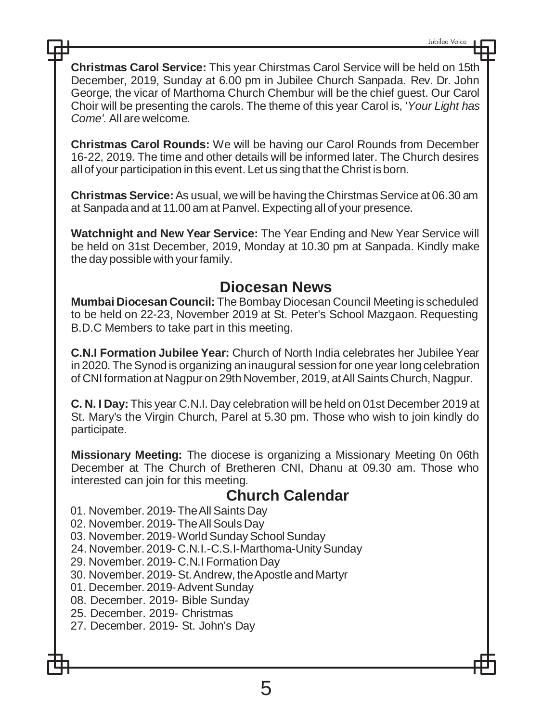**Christmas Carol Service:** This year Chirstmas Carol Service will be held on 15th December, 2019, Sunday at 6.00 pm in Jubilee Church Sanpada. Rev. Dr. John George, the vicar of Marthoma Church Chembur will be the chief guest. Our Carol Choir will be presenting the carols. The theme of this year Carol is, '*Your Light has Come'.* All are welcome*.*

**Christmas Carol Rounds:** We will be having our Carol Rounds from December 16-22, 2019. The time and other details will be informed later. The Church desires all of your participation in this event. Let us sing that the Christ isborn.

**Christmas Service:** As usual, we will be having the Chirstmas Service at 06.30 am at Sanpada and at 11.00 am at Panvel. Expecting all of your presence.

**Watchnight and New Year Service:** The Year Ending and New Year Service will be held on 31st December, 2019, Monday at 10.30 pm at Sanpada. Kindly make the day possible with yourfamily.

## **Diocesan News**

**Mumbai Diocesan Council:** TheBombay Diocesan Council Meeting is scheduled to be held on 22-23, November 2019 at St. Peter's School Mazgaon. Requesting B.D.C Members to take part in this meeting.

**C.N.I Formation Jubilee Year:** Church of North India celebrates her Jubilee Year in 2020. The Synod is organizing an inaugural session for one year long celebration of CNI formation at Nagpur on 29th November, 2019, atAll Saints Church, Nagpur.

**C. N. I Day:** This year C.N.I. Day celebration will be held on 01st December 2019 at St. Mary's the Virgin Church, Parel at 5.30 pm. Those who wish to join kindly do participate.

**Missionary Meeting:** The diocese is organizing a Missionary Meeting 0n 06th December at The Church of Bretheren CNI, Dhanu at 09.30 am. Those who interested can join for this meeting.

## **Church Calendar**

01. November. 2019-TheAll Saints Day

02. November. 2019-TheAll Souls Day

03. November. 2019-World Sunday School Sunday

24. November. 2019- C.N.I.-C.S.I-Marthoma-Unity Sunday

29. November. 2019- C.N.I Formation Day

30. November. 2019- St.Andrew, theApostle and Martyr

01. December. 2019-Advent Sunday

08. December. 2019- Bible Sunday

25. December. 2019- Christmas

27. December. 2019- St. John's Day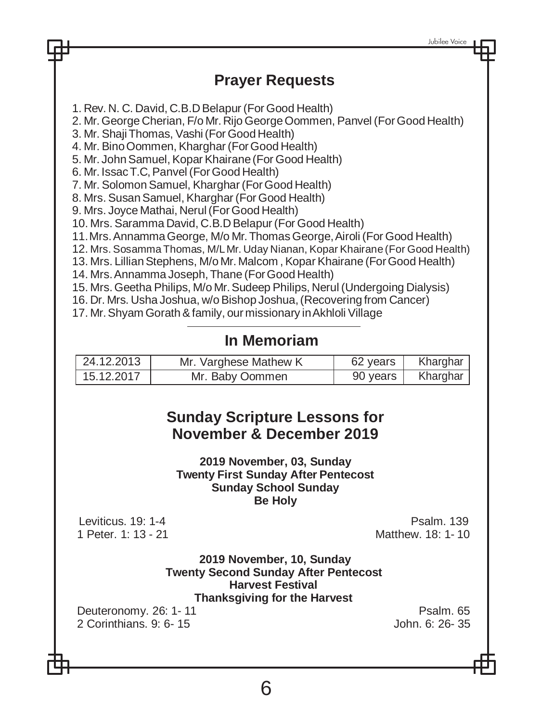# **Prayer Requests**

1. Rev. N. C. David, C.B.D Belapur (For Good Health)

2. Mr.George Cherian, F/o Mr.Rijo GeorgeOommen, Panvel (ForGood Health)

3. Mr. ShajiThomas, Vashi(For Good Health)

4. Mr. BinoOommen, Kharghar (ForGood Health)

5. Mr. JohnSamuel, Kopar Khairane(For Good Health)

6. Mr. IssacT.C,Panvel (ForGood Health)

7. Mr. Solomon Samuel, Kharghar (For Good Health)

8. Mrs. Susan Samuel, Kharghar (For Good Health)

9. Mrs. Joyce Mathai, Nerul(ForGood Health)

10. Mrs. Saramma David, C.B.D Belapur (For Good Health)

11.Mrs.AnnammaGeorge, M/o Mr.Thomas George,Airoli (For Good Health)

12. Mrs. Sosamma Thomas, M/LMr. Uday Nianan, Kopar Khairane(For Good Health)

13. Mrs. Lillian Stephens, M/o Mr. Malcom, Kopar Khairane (For Good Health)

14. Mrs.Annamma Joseph,Thane (ForGood Health)

15. Mrs.Geetha Philips, M/o Mr.Sudeep Philips, Nerul (Undergoing Dialysis)

16. Dr. Mrs. Usha Joshua, w/oBishop Joshua,(Recovering from Cancer)

17. Mr.Shyam Gorath&family, our missionary inAkhloli Village

# **In Memoriam**

| 24.12.2013 | Mr. Varghese Mathew K | 62 years | Kharghar |
|------------|-----------------------|----------|----------|
| 15.12.2017 | Mr. Baby Oommen       | 90 years | Kharghar |

# **Sunday Scripture Lessons for November & December 2019**

**2019 November, 03, Sunday Twenty First Sunday After Pentecost Sunday School Sunday Be Holy**

Leviticus. 19: 1-4 Psalm. 139<br>1 Peter 1: 13 - 21 Peter 1: 13 - 21 Matthew. 18: 1- 10

> **2019 November, 10, Sunday Twenty Second Sunday After Pentecost Harvest Festival Thanksgiving for the Harvest**

Deuteronomy. 26: 1- 11 Psalm. 65<br>2 Corinthians 9: 6- 15 Psalm. 65 Psalm. 65 2 Corinthians. 9: 6-15

6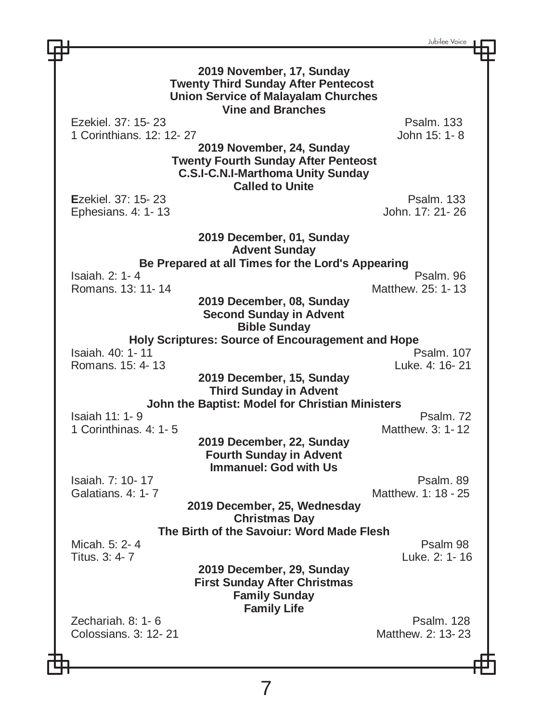Jubilee Voice **2019 November, 17, Sunday Twenty Third Sunday After Pentecost Union Service of Malayalam Churches Vine and Branches** Ezekiel. 37: 15- 23 Psalm. 133 1 Corinthians.  $12: 12. 27$ **2019 November, 24, Sunday Twenty Fourth Sunday After Penteost C.S.I-C.N.I-Marthoma Unity Sunday Called to Unite E**zekiel. 37: 15- 23 Psalm. 133 Ephesians. 4: 1-13 **2019 December, 01, Sunday Advent Sunday Be Prepared at all Times for the Lord's Appearing** Isaiah. 2: 1- 4 Psalm. 96 Romans. 13: 11- 14 **2019 December, 08, Sunday Second Sunday in Advent Bible Sunday Holy Scriptures: Source of Encouragement and Hope** Isaiah. 40: 1- 11 Psalm. 107 Romans.  $15: 4- 13$ **2019 December, 15, Sunday Third Sunday in Advent John the Baptist: Model for Christian Ministers** Isaiah 11: 1- 9 Psalm. 72 1 Corinthinas.  $4: 1-5$ **2019 December, 22, Sunday Fourth Sunday in Advent Immanuel: God with Us** Isaiah. 7: 10- 17 Psalm. 89 Matthew. 1: 18 - 25 **2019 December, 25, Wednesday Christmas Day The Birth of the Savoiur: Word Made Flesh** Micah. 5: 2- 4 Psalm 98 Titus. 3: 4- 7 Luke. 2: 1- 16 **2019 December, 29, Sunday First Sunday After Christmas Family Sunday Family Life** Zechariah. 8: 1- 6 Psalm. 128 Colossians. 3: 12- 21 Matthew. 2: 13- 23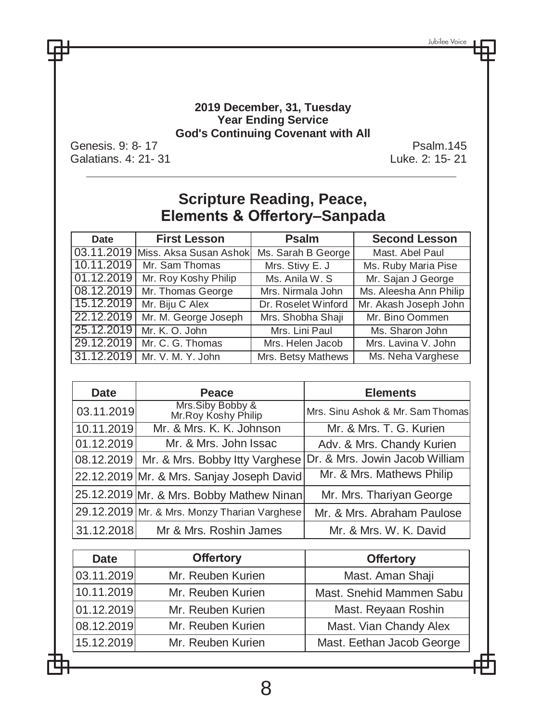#### **2019 December, 31, Tuesday Year Ending Service God's Continuing Covenant with All**

Genesis. 9: 8- 17 Psalm.145<br>Galatians. 4: 21- 31 Calatians. 4: 21- 31 Galatians. 4: 21- 31

## **Scripture Reading, Peace, Elements & Offertory–Sanpada**

| Date       | <b>First Lesson</b>               | <b>Psalm</b>        | <b>Second Lesson</b>   |
|------------|-----------------------------------|---------------------|------------------------|
|            | 03.11.2019 Miss. Aksa Susan Ashok | Ms. Sarah B George  | Mast, Abel Paul        |
| 10.11.2019 | Mr. Sam Thomas                    | Mrs. Stivy E. J     | Ms. Ruby Maria Pise    |
| 01.12.2019 | Mr. Roy Koshy Philip              | Ms. Anila W. S.     | Mr. Sajan J George     |
| 08.12.2019 | Mr. Thomas George                 | Mrs. Nirmala John   | Ms. Aleesha Ann Philip |
| 15.12.2019 | Mr. Biju C Alex                   | Dr. Roselet Winford | Mr. Akash Joseph John  |
| 22.12.2019 | Mr. M. George Joseph              | Mrs. Shobha Shaji   | Mr. Bino Oommen        |
| 25.12.2019 | Mr. K. O. John                    | Mrs. Lini Paul      | Ms. Sharon John        |
|            | 29.12.2019   Mr. C. G. Thomas     | Mrs. Helen Jacob    | Mrs. Lavina V. John    |
|            | 31.12.2019   Mr. V. M. Y. John    | Mrs. Betsy Mathews  | Ms. Neha Varghese      |

| Date       | Peace                                                         | <b>Elements</b>                  |
|------------|---------------------------------------------------------------|----------------------------------|
| 03.11.2019 | Mrs.Siby Bobby &<br>Mr.Roy Koshy Philip                       | Mrs. Sinu Ashok & Mr. Sam Thomas |
| 10.11.2019 | Mr. & Mrs. K. K. Johnson                                      | Mr. & Mrs. T. G. Kurien          |
| 01.12.2019 | Mr. & Mrs. John Issac                                         | Adv. & Mrs. Chandy Kurien        |
| 08.12.2019 | Mr. & Mrs. Bobby Itty Varghese Dr. & Mrs. Jowin Jacob William |                                  |
|            | 22.12.2019 Mr. & Mrs. Sanjay Joseph David                     | Mr. & Mrs. Mathews Philip        |
|            | 25.12.2019 Mr. & Mrs. Bobby Mathew Ninan                      | Mr. Mrs. Thariyan George         |
|            | 29.12.2019 Mr. & Mrs. Monzy Tharian Varghese                  | Mr. & Mrs. Abraham Paulose       |
| 31.12.2018 | Mr & Mrs. Roshin James                                        | Mr. & Mrs. W. K. David           |

| Date       | <b>Offertory</b>  | <b>Offertory</b>          |
|------------|-------------------|---------------------------|
| 03.11.2019 | Mr. Reuben Kurien | Mast. Aman Shaji          |
| 10.11.2019 | Mr. Reuben Kurien | Mast. Snehid Mammen Sabu  |
| 01.12.2019 | Mr. Reuben Kurien | Mast. Reyaan Roshin       |
| 08.12.2019 | Mr. Reuben Kurien | Mast. Vian Chandy Alex    |
| 15.12.2019 | Mr. Reuben Kurien | Mast. Eethan Jacob George |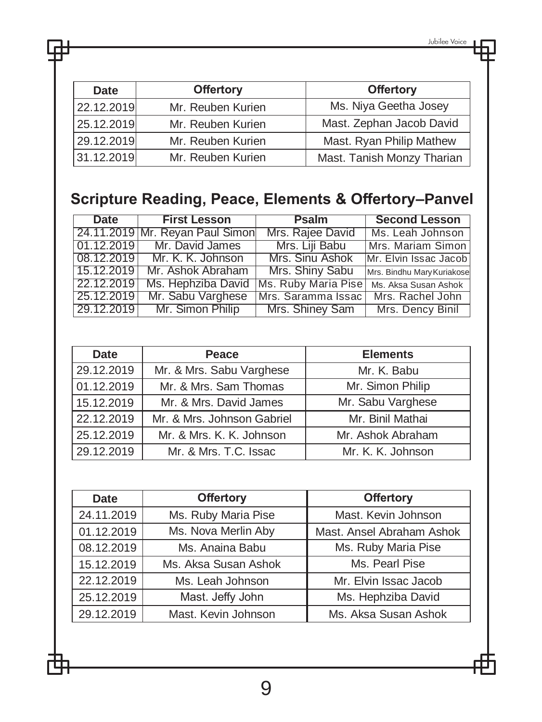| <b>Date</b> | <b>Offertory</b>  | <b>Offertory</b>           |
|-------------|-------------------|----------------------------|
| 22.12.2019  | Mr. Reuben Kurien | Ms. Niya Geetha Josey      |
| 25.12.2019  | Mr. Reuben Kurien | Mast. Zephan Jacob David   |
| 29.12.2019  | Mr. Reuben Kurien | Mast. Ryan Philip Mathew   |
| 31.12.2019  | Mr. Reuben Kurien | Mast. Tanish Monzy Tharian |

# **Scripture Reading, Peace, Elements & Offertory–Panvel**

| <b>Date</b> | <b>First Lesson</b>             | Psalm               | <b>Second Lesson</b>       |
|-------------|---------------------------------|---------------------|----------------------------|
|             | 24.11.2019 Mr. Reyan Paul Simon | Mrs. Rajee David    | Ms. Leah Johnson           |
| 01.12.2019  | Mr. David James                 | Mrs. Liji Babu      | Mrs. Mariam Simon          |
|             | 08.12.2019 Mr. K. K. Johnson    | Mrs. Sinu Ashok     | Mr. Elvin Issac Jacob      |
| 15.12.2019  | Mr. Ashok Abraham               | Mrs. Shiny Sabu     | Mrs. Bindhu Mary Kuriakose |
| 22.12.2019  | Ms. Hephziba David              | Ms. Ruby Maria Pise | Ms. Aksa Susan Ashok       |
| 25.12.2019  | Mr. Sabu Varghese               | Mrs. Saramma Issac  | Mrs. Rachel John           |
| 29.12.2019  | Mr. Simon Philip                | Mrs. Shiney Sam     | Mrs. Dency Binil           |

| <b>Date</b> | Peace                      | <b>Elements</b>   |
|-------------|----------------------------|-------------------|
| 29.12.2019  | Mr. & Mrs. Sabu Varghese   | Mr. K. Babu       |
| 01.12.2019  | Mr. & Mrs. Sam Thomas      | Mr. Simon Philip  |
| 15.12.2019  | Mr. & Mrs. David James     | Mr. Sabu Varghese |
| 22.12.2019  | Mr. & Mrs. Johnson Gabriel | Mr. Binil Mathai  |
| 25.12.2019  | Mr. & Mrs. K. K. Johnson   | Mr. Ashok Abraham |
| 29.12.2019  | Mr. & Mrs. T.C. Issac      | Mr. K. K. Johnson |

| <b>Date</b>                       | <b>Offertory</b>                          | <b>Offertory</b>          |
|-----------------------------------|-------------------------------------------|---------------------------|
| 24.11.2019<br>Ms. Ruby Maria Pise |                                           | Mast. Kevin Johnson       |
| Ms. Nova Merlin Aby<br>01.12.2019 |                                           | Mast. Ansel Abraham Ashok |
| 08.12.2019                        | Ms. Ruby Maria Pise<br>Ms. Anaina Babu    |                           |
| 15.12.2019                        | Ms. Pearl Pise<br>Ms. Aksa Susan Ashok    |                           |
| 22.12.2019                        | Mr. Elvin Issac Jacob<br>Ms. Leah Johnson |                           |
| 25.12.2019                        | Mast. Jeffy John<br>Ms. Hephziba David    |                           |
| 29.12.2019                        | Mast. Kevin Johnson                       | Ms. Aksa Susan Ashok      |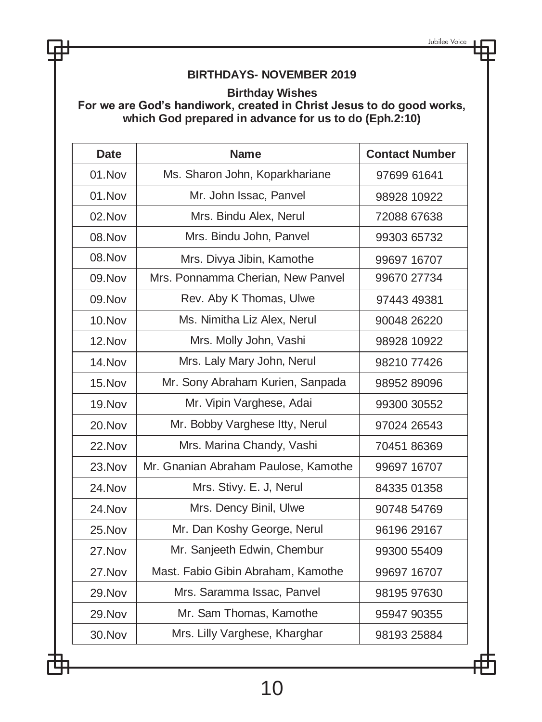## **BIRTHDAYS- NOVEMBER 2019**

**Birthday Wishes**

**For we are God's handiwork, created in Christ Jesus to do good works, which God prepared in advance for us to do (Eph.2:10)**

| <b>Date</b>   | <b>Name</b>                          | <b>Contact Number</b> |
|---------------|--------------------------------------|-----------------------|
| 01.Nov        | Ms. Sharon John, Koparkhariane       | 97699 61641           |
| 01.Nov        | Mr. John Issac, Panvel               | 98928 10922           |
| 02.Nov        | Mrs. Bindu Alex, Nerul               | 72088 67638           |
| 08. Nov       | Mrs. Bindu John, Panvel              | 99303 65732           |
| 08.Nov        | Mrs. Divya Jibin, Kamothe            | 99697 16707           |
| 09. Nov       | Mrs. Ponnamma Cherian, New Panvel    | 99670 27734           |
| 09.Nov        | Rev. Aby K Thomas, Ulwe              | 97443 49381           |
| $10.$ Nov     | Ms. Nimitha Liz Alex, Nerul          | 90048 26220           |
| 12.Nov        | Mrs. Molly John, Vashi               | 98928 10922           |
| 14.Nov        | Mrs. Laly Mary John, Nerul           | 98210 77426           |
| 15.Nov        | Mr. Sony Abraham Kurien, Sanpada     | 98952 89096           |
| 19.Nov        | Mr. Vipin Varghese, Adai             | 99300 30552           |
| 20.Nov        | Mr. Bobby Varghese Itty, Nerul       | 97024 26543           |
| 22.Nov        | Mrs. Marina Chandy, Vashi            | 70451 86369           |
| 23.Nov        | Mr. Gnanian Abraham Paulose, Kamothe | 99697 16707           |
| 24.Nov        | Mrs. Stivy. E. J, Nerul              | 84335 01358           |
| 24.Nov        | Mrs. Dency Binil, Ulwe               | 90748 54769           |
| 25.Nov        | Mr. Dan Koshy George, Nerul          | 96196 29167           |
| 27.Nov        | Mr. Sanjeeth Edwin, Chembur          | 99300 55409           |
| 27.Nov        | Mast. Fabio Gibin Abraham, Kamothe   | 99697 16707           |
| <b>29.Nov</b> | Mrs. Saramma Issac, Panvel           | 98195 97630           |
| 29.Nov        | Mr. Sam Thomas, Kamothe              | 95947 90355           |
| 30.Nov        | Mrs. Lilly Varghese, Kharghar        | 98193 25884           |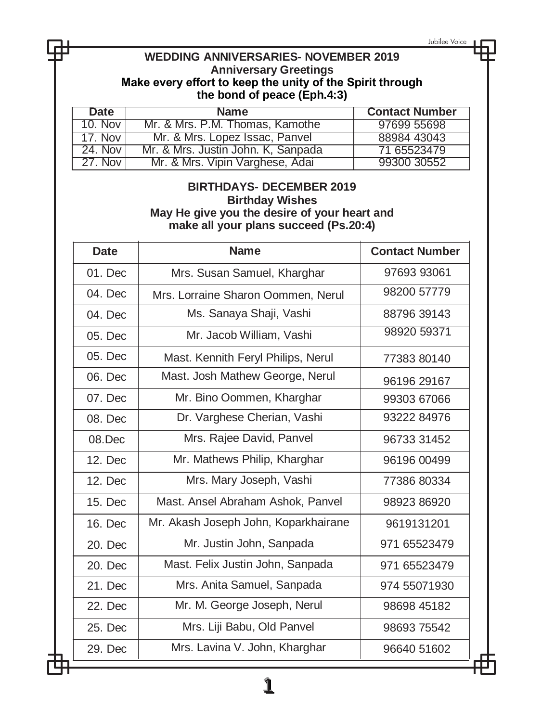| Jubilee Voice<br><b>WEDDING ANNIVERSARIES- NOVEMBER 2019</b><br><b>Anniversary Greetings</b><br>Make every effort to keep the unity of the Spirit through<br>the bond of peace (Eph.4:3) |                                                                      |                            |
|------------------------------------------------------------------------------------------------------------------------------------------------------------------------------------------|----------------------------------------------------------------------|----------------------------|
| <b>Date</b>                                                                                                                                                                              | <b>Name</b>                                                          | <b>Contact Number</b>      |
| <b>10. Nov</b>                                                                                                                                                                           | Mr. & Mrs. P.M. Thomas, Kamothe                                      | 97699 55698                |
| <b>17. Nov</b>                                                                                                                                                                           | Mr. & Mrs. Lopez Issac, Panvel<br>Mr. & Mrs. Justin John. K. Sanpada | 88984 43043                |
| 24. Nov<br>27. Nov                                                                                                                                                                       | Mr. & Mrs. Vipin Varghese, Adai                                      | 71 65523479<br>99300 30552 |
| <b>BIRTHDAYS- DECEMBER 2019</b><br><b>Birthday Wishes</b><br>May He give you the desire of your heart and<br>make all your plans succeed (Ps.20:4)                                       |                                                                      |                            |
| <b>Date</b>                                                                                                                                                                              | <b>Name</b>                                                          | <b>Contact Number</b>      |
| $01.$ Dec                                                                                                                                                                                | Mrs. Susan Samuel, Kharghar                                          | 97693 93061                |
| 04. Dec                                                                                                                                                                                  | Mrs. Lorraine Sharon Oommen, Nerul                                   | 98200 57779                |
| 04. Dec                                                                                                                                                                                  | Ms. Sanaya Shaji, Vashi                                              | 88796 39143                |
| 05. Dec                                                                                                                                                                                  | Mr. Jacob William, Vashi                                             | 98920 59371                |
| 05. Dec                                                                                                                                                                                  | Mast. Kennith Feryl Philips, Nerul                                   | 77383 80140                |
| 06. Dec                                                                                                                                                                                  | Mast. Josh Mathew George, Nerul                                      | 96196 29167                |
| 07. Dec                                                                                                                                                                                  | Mr. Bino Oommen, Kharghar                                            | 99303 67066                |
| 08. Dec                                                                                                                                                                                  | Dr. Varghese Cherian, Vashi                                          | 93222 84976                |
| $08.$ Dec                                                                                                                                                                                | Mrs. Rajee David, Panvel                                             | 96733 31452                |
| 12. Dec                                                                                                                                                                                  | Mr. Mathews Philip, Kharghar                                         | 96196 00499                |
| 12. Dec                                                                                                                                                                                  | Mrs. Mary Joseph, Vashi                                              | 77386 80334                |
| 15. Dec                                                                                                                                                                                  | Mast. Ansel Abraham Ashok, Panvel                                    | 98923 86920                |
| 16. Dec                                                                                                                                                                                  | Mr. Akash Joseph John, Koparkhairane                                 | 9619131201                 |
| 20. Dec                                                                                                                                                                                  | Mr. Justin John, Sanpada                                             | 971 65523479               |
| 20. Dec                                                                                                                                                                                  | Mast. Felix Justin John, Sanpada                                     | 971 65523479               |
| 21. Dec                                                                                                                                                                                  | Mrs. Anita Samuel, Sanpada                                           | 974 55071930               |
| 22. Dec                                                                                                                                                                                  | Mr. M. George Joseph, Nerul                                          | 98698 45182                |
|                                                                                                                                                                                          | Mrs. Liji Babu, Old Panvel                                           | 98693 75542                |
| 25. Dec                                                                                                                                                                                  |                                                                      |                            |

1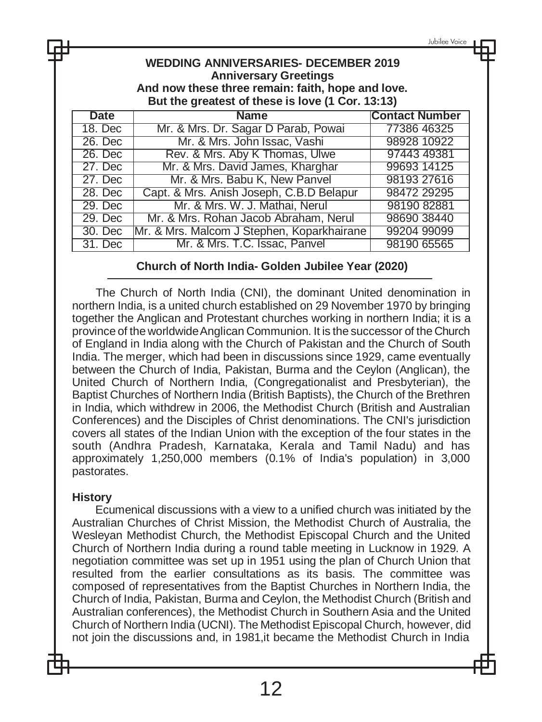Jubilee Voice

|                          | <b>WEDDING ANNIVERSARIES- DECEMBER 2019</b><br><b>Anniversary Greetings</b><br>And now these three remain: faith, hope and love.<br>But the greatest of these is love (1 Cor. 13:13) |                       |  |
|--------------------------|--------------------------------------------------------------------------------------------------------------------------------------------------------------------------------------|-----------------------|--|
| Date                     | <b>Name</b>                                                                                                                                                                          | <b>Contact Number</b> |  |
| 18. Dec                  | Mr. & Mrs. Dr. Sagar D Parab, Powai                                                                                                                                                  | 77386 46325           |  |
| $\overline{\phantom{a}}$ |                                                                                                                                                                                      | 000001000             |  |

| 18. Dec | Mr. & Mrs. Dr. Sagar D Parab, Powal        | 77386 46325 |
|---------|--------------------------------------------|-------------|
| 26. Dec | Mr. & Mrs. John Issac, Vashi               | 98928 10922 |
| 26. Dec | Rev. & Mrs. Aby K Thomas, Ulwe             | 97443 49381 |
| 27. Dec | Mr. & Mrs. David James, Kharghar           | 99693 14125 |
| 27. Dec | Mr. & Mrs. Babu K, New Panvel              | 98193 27616 |
| 28. Dec | Capt. & Mrs. Anish Joseph, C.B.D Belapur   | 98472 29295 |
| 29. Dec | Mr. & Mrs. W. J. Mathai, Nerul             | 98190 82881 |
| 29. Dec | Mr. & Mrs. Rohan Jacob Abraham, Nerul      | 98690 38440 |
| 30. Dec | Mr. & Mrs. Malcom J Stephen, Koparkhairane | 99204 99099 |
| 31. Dec | Mr. & Mrs. T.C. Issac, Panvel              | 98190 65565 |

#### **Church of North India- Golden Jubilee Year (2020)**

The Church of North India (CNI), the dominant United denomination in northern India, is a united church established on 29 November 1970 by bringing together the Anglican and Protestant churches working in northern India; it is a province of the worldwideAnglican Communion. It is the successor of the Church of England in India along with the Church of Pakistan and the Church of South India. The merger, which had been in discussions since 1929, came eventually between the Church of India, Pakistan, Burma and the Ceylon (Anglican), the United Church of Northern India, (Congregationalist and Presbyterian), the Baptist Churches of Northern India (British Baptists), the Church of the Brethren in India, which withdrew in 2006, the Methodist Church (British and Australian Conferences) and the Disciples of Christ denominations. The CNI's jurisdiction covers all states of the Indian Union with the exception of the four states in the south (Andhra Pradesh, Karnataka, Kerala and Tamil Nadu) and has approximately 1,250,000 members (0.1% of India's population) in 3,000 pastorates.

#### **History**

Ecumenical discussions with a view to a unified church was initiated by the Australian Churches of Christ Mission, the Methodist Church of Australia, the Wesleyan Methodist Church, the Methodist Episcopal Church and the United Church of Northern India during a round table meeting in Lucknow in 1929. A negotiation committee was set up in 1951 using the plan of Church Union that resulted from the earlier consultations as its basis. The committee was composed of representatives from the Baptist Churches in Northern India, the Church of India, Pakistan, Burma and Ceylon, the Methodist Church (British and Australian conferences), the Methodist Church in Southern Asia and the United Church of Northern India (UCNI). The Methodist Episcopal Church, however, did not join the discussions and, in 1981,it became the Methodist Church in India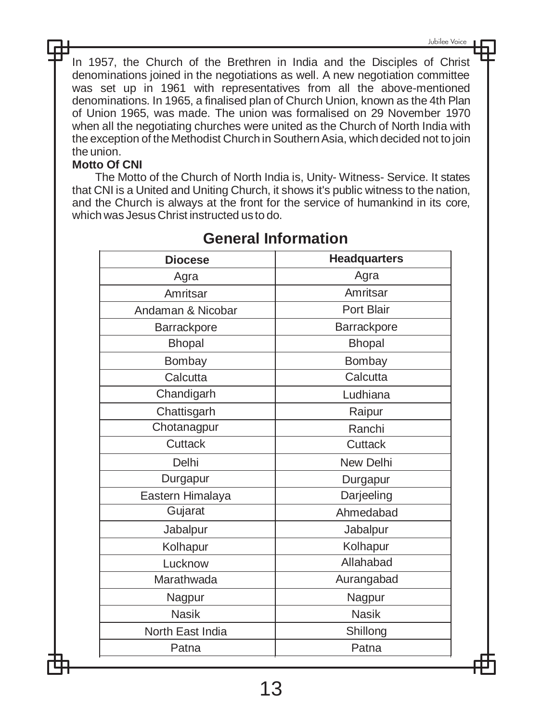In 1957, the Church of the Brethren in India and the Disciples of Christ denominations joined in the negotiations as well. A new negotiation committee was set up in 1961 with representatives from all the above-mentioned denominations. In 1965, a finalised plan of Church Union, known as the 4th Plan of Union 1965, was made. The union was formalised on 29 November 1970 when all the negotiating churches were united as the Church of North India with the exception of the Methodist Church in SouthernAsia, which decided not to join the union.

#### **Motto Of CNI**

The Motto of the Church of North India is, Unity- Witness- Service. It states that CNI is a United and Uniting Church, it shows it's public witness to the nation, and the Church is always at the front for the service of humankind in its core, which was Jesus Christ instructed us to do.

| <b>Diocese</b>    | <b>Headquarters</b> |
|-------------------|---------------------|
| Agra              | Agra                |
| Amritsar          | Amritsar            |
| Andaman & Nicobar | Port Blair          |
| Barrackpore       | Barrackpore         |
| Bhopal            | <b>Bhopal</b>       |
| Bombay            | Bombay              |
| Calcutta          | Calcutta            |
| Chandigarh        | Ludhiana            |
| Chattisgarh       | Raipur              |
| Chotanagpur       | Ranchi              |
| Cuttack           | Cuttack             |
| Delhi             | New Delhi           |
| Durgapur          | Durgapur            |
| Eastern Himalaya  | Darjeeling          |
| Gujarat           | Ahmedabad           |
| Jabalpur          | Jabalpur            |
| Kolhapur          | Kolhapur            |
| Lucknow           | Allahabad           |
| Marathwada        | Aurangabad          |
| Nagpur            | Nagpur              |
| <b>Nasik</b>      | <b>Nasik</b>        |
| North East India  | Shillong            |
| Patna             | Patna               |

## **General Information**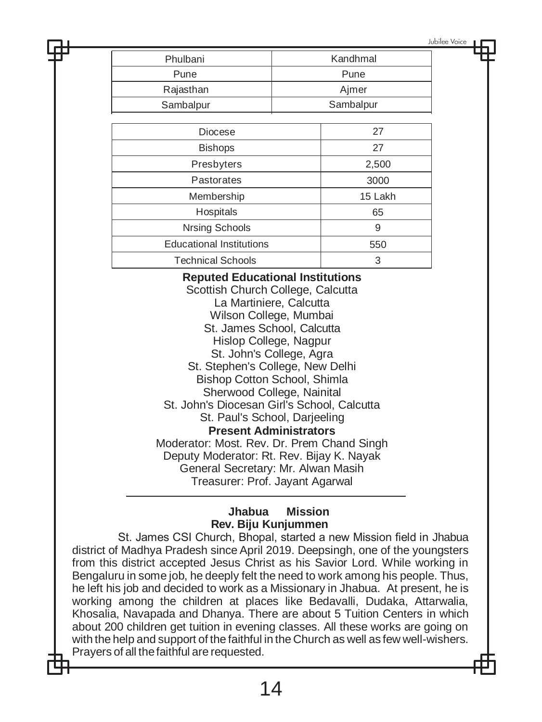Jubilee Voice

| Phulbani       | Kandhmal  |  |
|----------------|-----------|--|
| Pune           | Pune      |  |
| Rajasthan      | Ajmer     |  |
| Sambalpur      | Sambalpur |  |
|                |           |  |
| <b>Diocese</b> | 27        |  |
| <b>Rishons</b> |           |  |

| <b>Bishops</b>                  | 27      |
|---------------------------------|---------|
| Presbyters                      | 2,500   |
| Pastorates                      | 3000    |
| Membership                      | 15 Lakh |
| Hospitals                       | 65      |
| Nrsing Schools                  | 9       |
| <b>Educational Institutions</b> | 550     |
| <b>Technical Schools</b>        | 3       |

**Reputed Educational Institutions** 

Scottish Church College, Calcutta La Martiniere, Calcutta Wilson College, Mumbai St. James School, Calcutta Hislop College, Nagpur St. John's College, Agra St. Stephen's College, New Delhi Bishop Cotton School, Shimla Sherwood College, Nainital St. John's Diocesan Girl's School, Calcutta St. Paul's School, Darjeeling **Present Administrators** Moderator: Most. Rev. Dr. Prem Chand Singh Deputy Moderator: Rt. Rev. Bijay K. Nayak General Secretary: Mr. Alwan Masih Treasurer: Prof. Jayant Agarwal

#### **Jhabua Mission Rev. Biju Kunjummen**

St. James CSI Church, Bhopal, started a new Mission field in Jhabua district of Madhya Pradesh since April 2019. Deepsingh, one of the youngsters from this district accepted Jesus Christ as his Savior Lord. While working in Bengaluru in some job, he deeply felt the need to work among his people. Thus, he left his job and decided to work as a Missionary in Jhabua. At present, he is working among the children at places like Bedavalli, Dudaka, Attarwalia, Khosalia, Navapada and Dhanya. There are about 5 Tuition Centers in which about 200 children get tuition in evening classes. All these works are going on with the help and support of the faithful in the Church as well as few well-wishers. Prayers of all thefaithful are requested.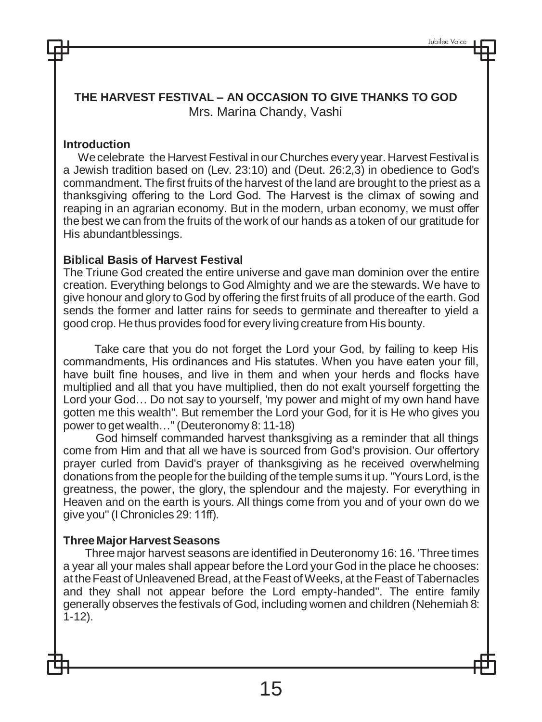**THE HARVEST FESTIVAL – AN OCCASION TO GIVE THANKS TO GOD** Mrs. Marina Chandy, Vashi

#### **Introduction**

Wecelebrate the Harvest Festival in our Churches every year.Harvest Festival is a Jewish tradition based on (Lev. 23:10) and (Deut. 26:2,3) in obedience to God's commandment. The first fruits of the harvest of the land are brought to the priest as a thanksgiving offering to the Lord God. The Harvest is the climax of sowing and reaping in an agrarian economy. But in the modern, urban economy, we must offer the best we can from the fruits of the work of our hands as a token of our gratitude for His abundantblessings.

#### **Biblical Basis of Harvest Festival**

The Triune God created the entire universe and gave man dominion over the entire creation. Everything belongs to God Almighty and we are the stewards. We have to give honour and glory to God by offering the first fruits of all produce of the earth. God sends the former and latter rains for seeds to germinate and thereafter to yield a good crop. He thus provides food for every living creature from His bounty.

Take care that you do not forget the Lord your God, by failing to keep His commandments, His ordinances and His statutes. When you have eaten your fill, have built fine houses, and live in them and when your herds and flocks have multiplied and all that you have multiplied, then do not exalt yourself forgetting the Lord your God… Do not say to yourself, 'my power and might of my own hand have gotten me this wealth''. But remember the Lord your God, for it is He who gives you power to get wealth…''(Deuteronomy 8: 11-18)

God himself commanded harvest thanksgiving as a reminder that all things come from Him and that all we have is sourced from God's provision. Our offertory prayer curled from David's prayer of thanksgiving as he received overwhelming donations from the people for the building of the temple sums it up. "Yours Lord, is the greatness, the power, the glory, the splendour and the majesty. For everything in Heaven and on the earth is yours. All things come from you and of your own do we give you'' (I Chronicles 29: 11ff).

#### **ThreeMajor Harvest Seasons**

Three major harvest seasons are identified in Deuteronomy 16: 16. 'Three times a year all your males shall appear before the Lord your God in the place he chooses: at theFeast of Unleavened Bread, at theFeast ofWeeks, at theFeast of Tabernacles and they shall not appear before the Lord empty-handed''. The entire family generally observes the festivals of God, including women and children (Nehemiah 8: 1-12).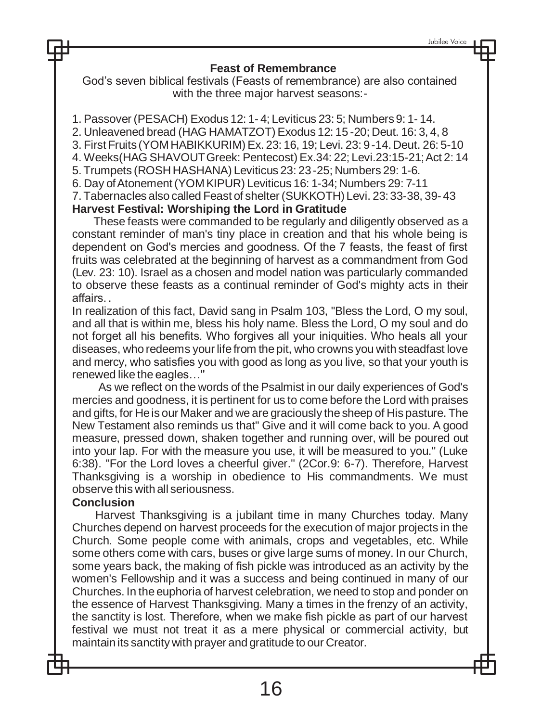#### **Feast of Remembrance**

God's seven biblical festivals (Feasts of remembrance) are also contained with the three major harvest seasons:-

1. Passover (PESACH) Exodus 12: 1- 4; Leviticus 23: 5; Numbers9: 1- 14.

2. Unleavened bread (HAG HAMATZOT) Exodus 12: 15 -20; Deut. 16: 3, 4, 8

3. First Fruits (YOM HABIKKURIM) Ex. 23: 16, 19; Levi. 23: 9-14.Deut. 26: 5-10

4. Weeks(HAG SHAVOUTGreek: Pentecost) Ex.34: 22; Levi.23:15-21;Act 2: 14

5.Trumpets (ROSH HASHANA) Leviticus 23: 23-25; Numbers 29: 1-6.

6. Day ofAtonement(YOM KIPUR) Leviticus 16: 1-34; Numbers 29: 7-11

7.Tabernacles also called Feast of shelter (SUKKOTH) Levi. 23: 33-38, 39- 43

#### **Harvest Festival: Worshiping the Lord in Gratitude**

These feasts were commanded to be regularly and diligently observed as a constant reminder of man's tiny place in creation and that his whole being is dependent on God's mercies and goodness. Of the 7 feasts, the feast of first fruits was celebrated at the beginning of harvest as a commandment from God (Lev. 23: 10). Israel as a chosen and model nation was particularly commanded to observe these feasts as a continual reminder of God's mighty acts in their affairs. .

In realization of this fact, David sang in Psalm 103, "Bless the Lord, O my soul, and all that is within me, bless his holy name. Bless the Lord, O my soul and do not forget all his benefits. Who forgives all your iniquities. Who heals all your diseases, who redeems your life from the pit, who crowns you with steadfast love and mercy, who satisfies you with good as long as you live, so that your youth is renewed like the eagles…''

As we reflect on the words of the Psalmist in our daily experiences of God's mercies and goodness, it is pertinent for us to come before the Lord with praises and gifts, for Heis our Maker and we are graciously the sheep of His pasture. The New Testament also reminds us that" Give and it will come back to you. A good measure, pressed down, shaken together and running over, will be poured out into your lap. For with the measure you use, it will be measured to you." (Luke 6:38). "For the Lord loves a cheerful giver." (2Cor.9: 6-7). Therefore, Harvest Thanksgiving is a worship in obedience to His commandments. We must observe this with all seriousness.

#### **Conclusion**

Harvest Thanksgiving is a jubilant time in many Churches today. Many Churches depend on harvest proceeds for the execution of major projects in the Church. Some people come with animals, crops and vegetables, etc. While some others come with cars, buses or give large sums of money. In our Church, some years back, the making of fish pickle was introduced as an activity by the women's Fellowship and it was a success and being continued in many of our Churches. In the euphoria of harvest celebration, we need to stop and ponder on the essence of Harvest Thanksgiving. Many a times in the frenzy of an activity, the sanctity is lost. Therefore, when we make fish pickle as part of our harvest festival we must not treat it as a mere physical or commercial activity, but maintainits sanctity with prayer and gratitude to our Creator.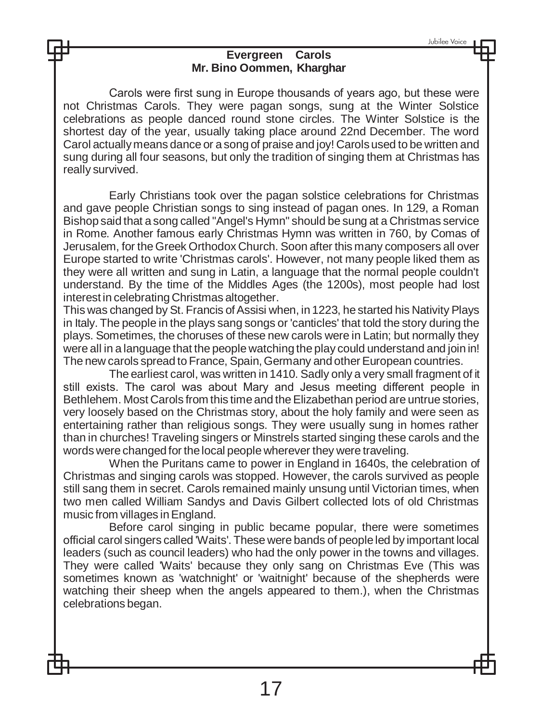Jubilee Voice

#### **Evergreen Carols Mr. Bino Oommen, Kharghar**

Carols were first sung in Europe thousands of years ago, but these were not Christmas Carols. They were pagan songs, sung at the Winter Solstice celebrations as people danced round stone circles. The Winter Solstice is the shortest day of the year, usually taking place around 22nd December. The word Carol actuallymeans dance or a song of praise and joy! Carolsused to be written and sung during all four seasons, but only the tradition of singing them at Christmas has really survived.

Early Christians took over the pagan solstice celebrations for Christmas and gave people Christian songs to sing instead of pagan ones. In 129, a Roman Bishop said that a song called "Angel's Hymn" should be sung at a Christmas service in Rome. Another famous early Christmas Hymn was written in 760, by Comas of Jerusalem, for the Greek Orthodox Church. Soon after this many composers all over Europe started to write 'Christmas carols'. However, not many people liked them as they were all written and sung in Latin, a language that the normal people couldn't understand. By the time of the Middles Ages (the 1200s), most people had lost interest in celebrating Christmas altogether.

This was changed by St. Francis of Assisi when, in 1223, he started his Nativity Plays in Italy. The people in the plays sang songs or 'canticles' that told the story during the plays. Sometimes, the choruses of these new carols were in Latin; but normally they were all in a language that the people watching the play could understand and join in! The new carols spread to France, Spain,Germany and other European countries.

The earliest carol, was written in 1410. Sadly only a very small fragment of it still exists. The carol was about Mary and Jesus meeting different people in Bethlehem. Most Carols from this time and the Elizabethan period are untrue stories, very loosely based on the Christmas story, about the holy family and were seen as entertaining rather than religious songs. They were usually sung in homes rather than in churches! Traveling singers or Minstrels started singing these carols and the words were changed for thelocal people wherever they were traveling.

When the Puritans came to power in England in 1640s, the celebration of Christmas and singing carols was stopped. However, the carols survived as people still sang them in secret. Carols remained mainly unsung until Victorian times, when two men called William Sandys and Davis Gilbert collected lots of old Christmas music from villages inEngland.

Before carol singing in public became popular, there were sometimes official carol singers called 'Waits'. These were bands of peopleled by important local leaders (such as council leaders) who had the only power in the towns and villages. They were called 'Waits' because they only sang on Christmas Eve (This was sometimes known as 'watchnight' or 'waitnight' because of the shepherds were watching their sheep when the angels appeared to them.), when the Christmas celebrations began.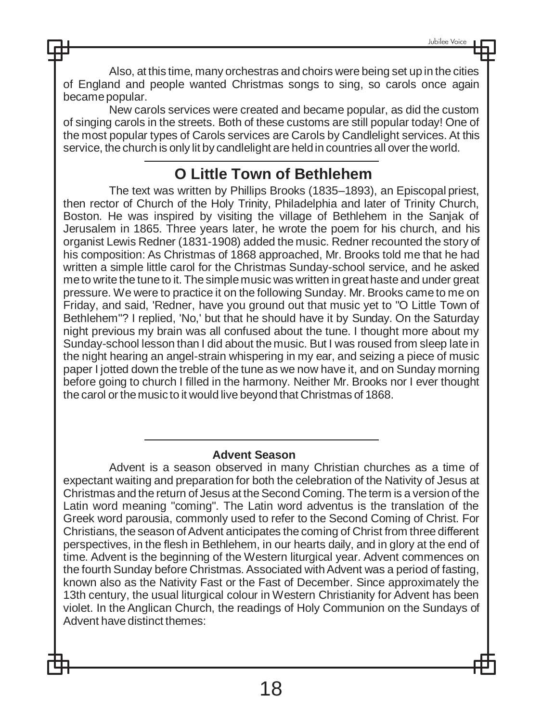Also, at this time, many orchestras and choirs were being set up in the cities of England and people wanted Christmas songs to sing, so carols once again becamepopular.

New carols services were created and became popular, as did the custom of singing carols in the streets. Both of these customs are still popular today! One of the most popular types of Carols services are Carols by Candlelight services. At this service, the church is only lit by candlelight are heldin countries all over the world.

# **O Little Town of Bethlehem**

The text was written by Phillips Brooks (1835–1893), an Episcopal priest, then rector of Church of the Holy Trinity, Philadelphia and later of Trinity Church, Boston. He was inspired by visiting the village of Bethlehem in the Sanjak of Jerusalem in 1865. Three years later, he wrote the poem for his church, and his organist Lewis Redner (1831-1908) added the music. Redner recounted the story of his composition: As Christmas of 1868 approached, Mr. Brooks told me that he had written a simple little carol for the Christmas Sunday-school service, and he asked meto write the tune to it. The simplemusic was written in great haste and under great pressure. We were to practice it on the following Sunday. Mr. Brooks came to me on Friday, and said, 'Redner, have you ground out that music yet to "O Little Town of Bethlehem"? I replied, 'No,' but that he should have it by Sunday. On the Saturday night previous my brain was all confused about the tune. I thought more about my Sunday-school lesson than I did about the music. But I was roused from sleep late in the night hearing an angel-strain whispering in my ear, and seizing a piece of music paper I jotted down the treble of the tune as we now have it, and on Sunday morning before going to church I filled in the harmony. Neither Mr. Brooks nor I ever thought the carol or themusic to it would live beyond that Christmas of 1868.

#### **Advent Season**

Advent is a season observed in many Christian churches as a time of expectant waiting and preparation for both the celebration of the Nativity of Jesus at Christmas and the return of Jesus at the Second Coming. The term is a version of the Latin word meaning "coming". The Latin word adventus is the translation of the Greek word parousia, commonly used to refer to the Second Coming of Christ. For Christians, the season of Advent anticipates the coming of Christ from three different perspectives, in the flesh in Bethlehem, in our hearts daily, and in glory at the end of time. Advent is the beginning of the Western liturgical year. Advent commences on the fourth Sunday before Christmas. Associated with Advent was a period of fasting, known also as the Nativity Fast or the Fast of December. Since approximately the 13th century, the usual liturgical colour in Western Christianity for Advent has been violet. In the Anglican Church, the readings of Holy Communion on the Sundays of Advent have distinct themes: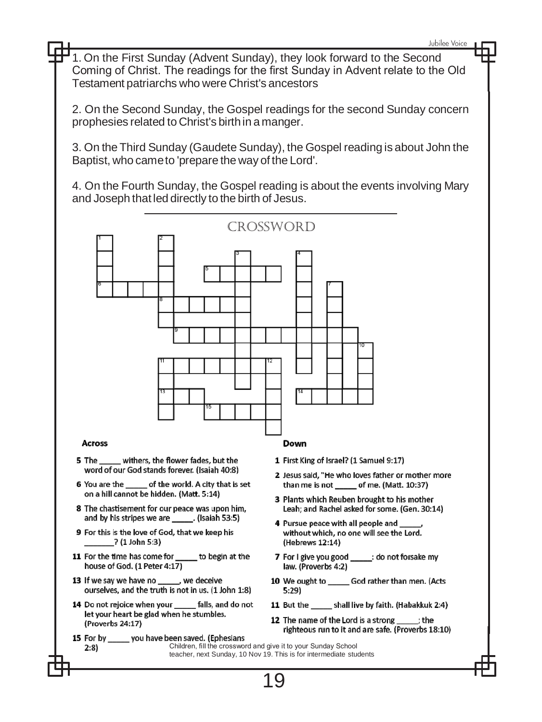1. On the First Sunday (Advent Sunday), they look forward to the Second Coming of Christ. The readings for the first Sunday in Advent relate to the Old Testament patriarchs who were Christ's ancestors

2. On the Second Sunday, the Gospel readings for the second Sunday concern prophesies related to Christ's birthin a manger.

3. On the Third Sunday (Gaudete Sunday), the Gospel reading is about John the Baptist, who cameto 'prepare the way of the Lord'.

4. On the Fourth Sunday, the Gospel reading is about the events involving Mary and Joseph that led directly to the birth of Jesus.

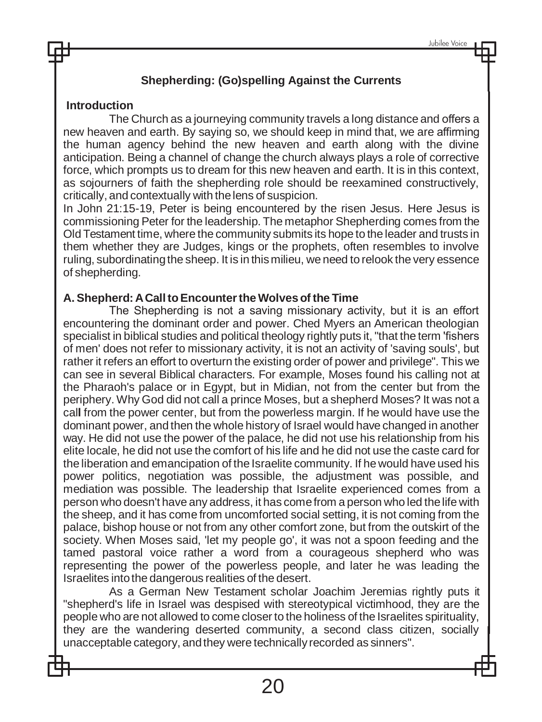## **Shepherding: (Go)spelling Against the Currents**

### **Introduction**

The Church as a journeying community travels a long distance and offers a new heaven and earth. By saying so, we should keep in mind that, we are affirming the human agency behind the new heaven and earth along with the divine anticipation. Being a channel of change the church always plays a role of corrective force, which prompts us to dream for this new heaven and earth. It is in this context, as sojourners of faith the shepherding role should be reexamined constructively, critically, and contextually with thelens of suspicion.

In John 21:15-19, Peter is being encountered by the risen Jesus. Here Jesus is commissioning Peter for the leadership. The metaphor Shepherding comes from the Old Testament time, where the community submits its hope to the leader and trusts in them whether they are Judges, kings or the prophets, often resembles to involve ruling, subordinating the sheep. It is in this milieu, we need to relook the very essence of shepherding.

#### **A. Shepherd: ACalltoEncountertheWolves of the Time**

The Shepherding is not a saving missionary activity, but it is an effort encountering the dominant order and power. Ched Myers an American theologian specialist in biblical studies and political theology rightly puts it, "that the term 'fishers of men' does not refer to missionary activity, it is not an activity of 'saving souls', but rather it refers an effort to overturn the existing order of power and privilege". This we can see in several Biblical characters. For example, Moses found his calling not at the Pharaoh's palace or in Egypt, but in Midian, not from the center but from the periphery. Why God did not call a prince Moses, but a shepherd Moses? It was not a cal**l** from the power center, but from the powerless margin. If he would have use the dominant power, and then the whole history of Israel would have changed in another way. He did not use the power of the palace, he did not use his relationship from his elite locale, he did not use the comfort of his life and he did not use the caste card for the liberation and emancipation of the Israelite community. If he would have used his power politics, negotiation was possible, the adjustment was possible, and mediation was possible. The leadership that Israelite experienced comes from a person who doesn't have any address, it has comefrom a person who led thelife with the sheep, and it has come from uncomforted social setting, it is not coming from the palace, bishop house or not from any other comfort zone, but from the outskirt of the society. When Moses said, 'let my people go', it was not a spoon feeding and the tamed pastoral voice rather a word from a courageous shepherd who was representing the power of the powerless people, and later he was leading the Israelites intothe dangerous realities of the desert.

As a German New Testament scholar Joachim Jeremias rightly puts it "shepherd's life in Israel was despised with stereotypical victimhood, they are the people who are not allowed to come closer to the holiness of the Israelites spirituality, they are the wandering deserted community, a second class citizen, socially unacceptable category, andthey were technically recorded as sinners".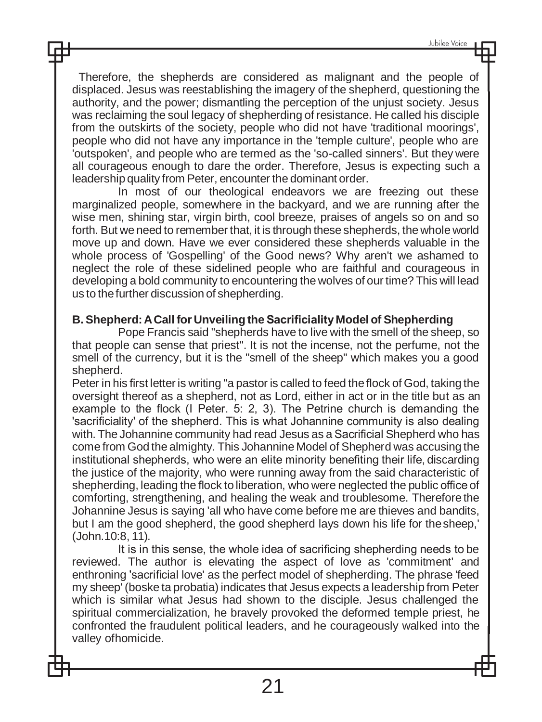Therefore, the shepherds are considered as malignant and the people of displaced. Jesus was reestablishing the imagery of the shepherd, questioning the authority, and the power; dismantling the perception of the unjust society. Jesus was reclaiming the soul legacy of shepherding of resistance. He called his disciple from the outskirts of the society, people who did not have 'traditional moorings', people who did not have any importance in the 'temple culture', people who are 'outspoken', and people who are termed as the 'so-called sinners'. But they were all courageous enough to dare the order. Therefore, Jesus is expecting such a leadership quality from Peter, encounter the dominant order.

In most of our theological endeavors we are freezing out these marginalized people, somewhere in the backyard, and we are running after the wise men, shining star, virgin birth, cool breeze, praises of angels so on and so forth. But we need to remember that, it is through these shepherds, the whole world move up and down. Have we ever considered these shepherds valuable in the whole process of 'Gospelling' of the Good news? Why aren't we ashamed to neglect the role of these sidelined people who are faithful and courageous in developing a bold community to encountering the wolves of our time? This will lead us to thefurther discussion of shepherding.

#### **B. Shepherd:ACall for Unveiling the SacrificialityModel of Shepherding**

Pope Francis said "shepherds have to live with the smell of the sheep, so that people can sense that priest". It is not the incense, not the perfume, not the smell of the currency, but it is the "smell of the sheep" which makes you a good shepherd.

Peter in his first letter is writing "a pastor is called to feed the flock of God, taking the oversight thereof as a shepherd, not as Lord, either in act or in the title but as an example to the flock (I Peter. 5: 2, 3). The Petrine church is demanding the 'sacrificiality' of the shepherd. This is what Johannine community is also dealing with. The Johannine community had read Jesus as a Sacrificial Shepherd who has come from God the almighty. This Johannine Model of Shepherd was accusing the institutional shepherds, who were an elite minority benefiting their life, discarding the justice of the majority, who were running away from the said characteristic of shepherding, leading the flock to liberation, who were neglected the public office of comforting, strengthening, and healing the weak and troublesome. Therefore the Johannine Jesus is saying 'all who have come before me are thieves and bandits, but I am the good shepherd, the good shepherd lays down his life for thesheep,' (John.10:8, 11).

It is in this sense, the whole idea of sacrificing shepherding needs to be reviewed. The author is elevating the aspect of love as 'commitment' and enthroning 'sacrificial love' as the perfect model of shepherding. The phrase 'feed my sheep' (boske ta probatia) indicates that Jesus expects a leadership from Peter which is similar what Jesus had shown to the disciple. Jesus challenged the spiritual commercialization, he bravely provoked the deformed temple priest, he confronted the fraudulent political leaders, and he courageously walked into the valley ofhomicide.